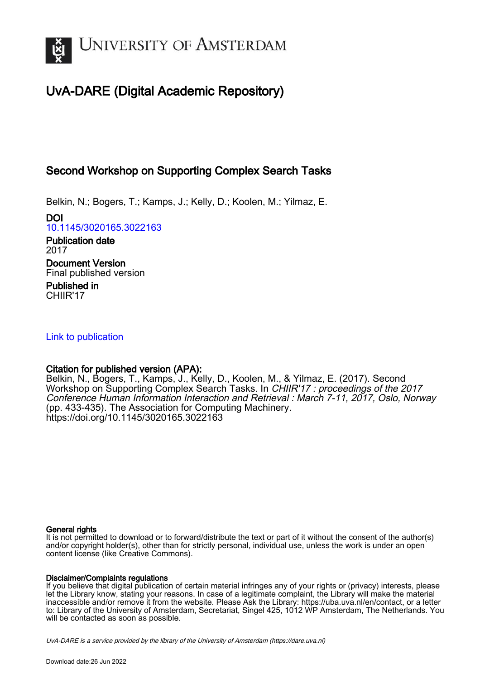

# UvA-DARE (Digital Academic Repository)

## Second Workshop on Supporting Complex Search Tasks

Belkin, N.; Bogers, T.; Kamps, J.; Kelly, D.; Koolen, M.; Yilmaz, E.

DOI [10.1145/3020165.3022163](https://doi.org/10.1145/3020165.3022163)

Publication date 2017 Document Version Final published version Published in CHIIR'17

[Link to publication](https://dare.uva.nl/personal/pure/en/publications/second-workshop-on-supporting-complex-search-tasks(e8c4e140-98c5-412a-9ebc-fa3948fd357a).html)

## Citation for published version (APA):

Belkin, N., Bogers, T., Kamps, J., Kelly, D., Koolen, M., & Yilmaz, E. (2017). Second Workshop on Supporting Complex Search Tasks. In CHIIR'17 : proceedings of the 2017 Conference Human Information Interaction and Retrieval : March 7-11, 2017, Oslo, Norway (pp. 433-435). The Association for Computing Machinery. <https://doi.org/10.1145/3020165.3022163>

#### General rights

It is not permitted to download or to forward/distribute the text or part of it without the consent of the author(s) and/or copyright holder(s), other than for strictly personal, individual use, unless the work is under an open content license (like Creative Commons).

#### Disclaimer/Complaints regulations

If you believe that digital publication of certain material infringes any of your rights or (privacy) interests, please let the Library know, stating your reasons. In case of a legitimate complaint, the Library will make the material inaccessible and/or remove it from the website. Please Ask the Library: https://uba.uva.nl/en/contact, or a letter to: Library of the University of Amsterdam, Secretariat, Singel 425, 1012 WP Amsterdam, The Netherlands. You will be contacted as soon as possible.

UvA-DARE is a service provided by the library of the University of Amsterdam (http*s*://dare.uva.nl)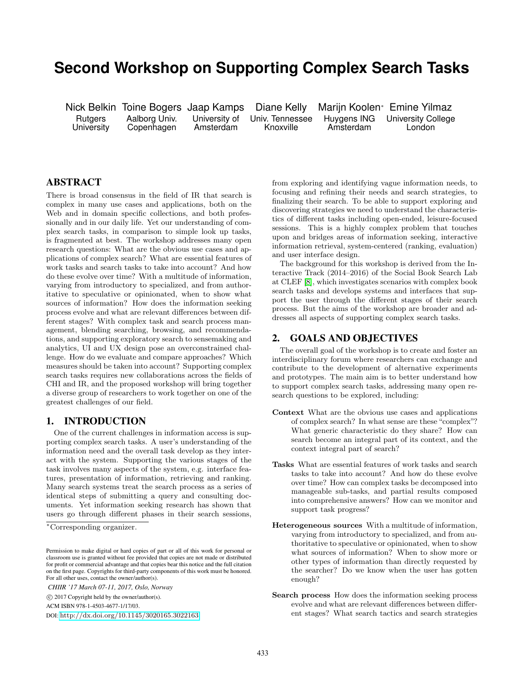## **Second Workshop on Supporting Complex Search Tasks**

Copenhagen

Nick Belkin Toine Bogers Jaap Kamps Diane Kelly Marijn Koolen<sup>∗</sup> Emine Yilmaz Rutgers Aalborg Univ. University of Univ. Tennessee Huygens ING University College<br>
University Copenhagen Amsterdam Knoxville Amsterdam London

### ABSTRACT

There is broad consensus in the field of IR that search is complex in many use cases and applications, both on the Web and in domain specific collections, and both professionally and in our daily life. Yet our understanding of complex search tasks, in comparison to simple look up tasks, is fragmented at best. The workshop addresses many open research questions: What are the obvious use cases and applications of complex search? What are essential features of work tasks and search tasks to take into account? And how do these evolve over time? With a multitude of information, varying from introductory to specialized, and from authoritative to speculative or opinionated, when to show what sources of information? How does the information seeking process evolve and what are relevant differences between different stages? With complex task and search process management, blending searching, browsing, and recommendations, and supporting exploratory search to sensemaking and analytics, UI and UX design pose an overconstrained challenge. How do we evaluate and compare approaches? Which measures should be taken into account? Supporting complex search tasks requires new collaborations across the fields of CHI and IR, and the proposed workshop will bring together a diverse group of researchers to work together on one of the greatest challenges of our field.

#### 1. INTRODUCTION

One of the current challenges in information access is supporting complex search tasks. A user's understanding of the information need and the overall task develop as they interact with the system. Supporting the various stages of the task involves many aspects of the system, e.g. interface features, presentation of information, retrieving and ranking. Many search systems treat the search process as a series of identical steps of submitting a query and consulting documents. Yet information seeking research has shown that users go through different phases in their search sessions,

*CHIIR '17 March 07-11, 2017, Oslo, Norway*

ACM ISBN 978-1-4503-4677-1/17/03.

DOI: <http://dx.doi.org/10.1145/3020165.3022163>

from exploring and identifying vague information needs, to focusing and refining their needs and search strategies, to finalizing their search. To be able to support exploring and discovering strategies we need to understand the characteristics of different tasks including open-ended, leisure-focused sessions. This is a highly complex problem that touches upon and bridges areas of information seeking, interactive information retrieval, system-centered (ranking, evaluation) and user interface design.

The background for this workshop is derived from the Interactive Track (2014–2016) of the Social Book Search Lab at CLEF [\[8\]](#page-3-0), which investigates scenarios with complex book search tasks and develops systems and interfaces that support the user through the different stages of their search process. But the aims of the workshop are broader and addresses all aspects of supporting complex search tasks.

#### <span id="page-1-0"></span>2. GOALS AND OBJECTIVES

The overall goal of the workshop is to create and foster an interdisciplinary forum where researchers can exchange and contribute to the development of alternative experiments and prototypes. The main aim is to better understand how to support complex search tasks, addressing many open research questions to be explored, including:

- Context What are the obvious use cases and applications of complex search? In what sense are these "complex"? What generic characteristic do they share? How can search become an integral part of its context, and the context integral part of search?
- Tasks What are essential features of work tasks and search tasks to take into account? And how do these evolve over time? How can complex tasks be decomposed into manageable sub-tasks, and partial results composed into comprehensive answers? How can we monitor and support task progress?
- Heterogeneous sources With a multitude of information, varying from introductory to specialized, and from authoritative to speculative or opinionated, when to show what sources of information? When to show more or other types of information than directly requested by the searcher? Do we know when the user has gotten enough?
- Search process How does the information seeking process evolve and what are relevant differences between different stages? What search tactics and search strategies

<sup>∗</sup>Corresponding organizer.

Permission to make digital or hard copies of part or all of this work for personal or classroom use is granted without fee provided that copies are not made or distributed for profit or commercial advantage and that copies bear this notice and the full citation on the first page. Copyrights for third-party components of this work must be honored. For all other uses, contact the owner/author(s).

c 2017 Copyright held by the owner/author(s).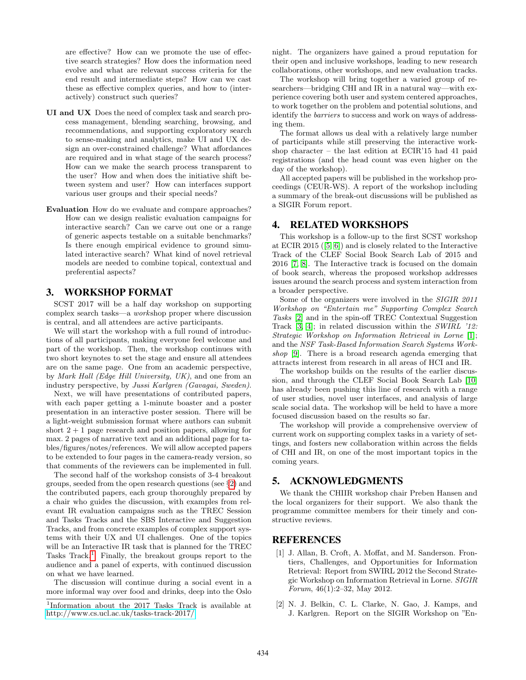are effective? How can we promote the use of effective search strategies? How does the information need evolve and what are relevant success criteria for the end result and intermediate steps? How can we cast these as effective complex queries, and how to (interactively) construct such queries?

- UI and UX Does the need of complex task and search process management, blending searching, browsing, and recommendations, and supporting exploratory search to sense-making and analytics, make UI and UX design an over-constrained challenge? What affordances are required and in what stage of the search process? How can we make the search process transparent to the user? How and when does the initiative shift between system and user? How can interfaces support various user groups and their special needs?
- Evaluation How do we evaluate and compare approaches? How can we design realistic evaluation campaigns for interactive search? Can we carve out one or a range of generic aspects testable on a suitable benchmarks? Is there enough empirical evidence to ground simulated interactive search? What kind of novel retrieval models are needed to combine topical, contextual and preferential aspects?

#### 3. WORKSHOP FORMAT

SCST 2017 will be a half day workshop on supporting complex search tasks—a workshop proper where discussion is central, and all attendees are active participants.

We will start the workshop with a full round of introductions of all participants, making everyone feel welcome and part of the workshop. Then, the workshop continues with two short keynotes to set the stage and ensure all attendees are on the same page. One from an academic perspective, by Mark Hall (Edge Hill University, UK), and one from an industry perspective, by Jussi Karlgren (Gavagai, Sweden).

Next, we will have presentations of contributed papers, with each paper getting a 1-minute boaster and a poster presentation in an interactive poster session. There will be a light-weight submission format where authors can submit short  $2 + 1$  page research and position papers, allowing for max. 2 pages of narrative text and an additional page for tables/figures/notes/references. We will allow accepted papers to be extended to four pages in the camera-ready version, so that comments of the reviewers can be implemented in full.

The second half of the workshop consists of 3-4 breakout groups, seeded from the open research questions (see §[2\)](#page-1-0) and the contributed papers, each group thoroughly prepared by a chair who guides the discussion, with examples from relevant IR evaluation campaigns such as the TREC Session and Tasks Tracks and the SBS Interactive and Suggestion Tracks, and from concrete examples of complex support systems with their UX and UI challenges. One of the topics will be an Interactive IR task that is planned for the TREC Tasks Track.<sup>[1](#page-2-0)</sup> Finally, the breakout groups report to the audience and a panel of experts, with continued discussion on what we have learned.

The discussion will continue during a social event in a more informal way over food and drinks, deep into the Oslo night. The organizers have gained a proud reputation for their open and inclusive workshops, leading to new research collaborations, other workshops, and new evaluation tracks.

The workshop will bring together a varied group of researchers—bridging CHI and IR in a natural way—with experience covering both user and system centered approaches, to work together on the problem and potential solutions, and identify the *barriers* to success and work on ways of addressing them.

The format allows us deal with a relatively large number of participants while still preserving the interactive workshop character – the last edition at ECIR'15 had 41 paid registrations (and the head count was even higher on the day of the workshop).

All accepted papers will be published in the workshop proceedings (CEUR-WS). A report of the workshop including a summary of the break-out discussions will be published as a SIGIR Forum report.

#### 4. RELATED WORKSHOPS

This workshop is a follow-up to the first SCST workshop at ECIR 2015 ([\[5,](#page-3-1) [6\]](#page-3-2)) and is closely related to the Interactive Track of the CLEF Social Book Search Lab of 2015 and 2016 [\[7,](#page-3-3) [8\]](#page-3-0). The Interactive track is focused on the domain of book search, whereas the proposed workshop addresses issues around the search process and system interaction from a broader perspective.

Some of the organizers were involved in the SIGIR 2011 Workshop on "Entertain me" Supporting Complex Search Tasks [\[2\]](#page-2-1) and in the spin-off TREC Contextual Suggestion Track [\[3,](#page-3-4) [4\]](#page-3-5); in related discussion within the SWIRL '12: Strategic Workshop on Information Retrieval in Lorne [\[1\]](#page-2-2); and the NSF Task-Based Information Search Systems Workshop [\[9\]](#page-3-6). There is a broad research agenda emerging that attracts interest from research in all areas of HCI and IR.

The workshop builds on the results of the earlier discussion, and through the CLEF Social Book Search Lab [\[10\]](#page-3-7) has already been pushing this line of research with a range of user studies, novel user interfaces, and analysis of large scale social data. The workshop will be held to have a more focused discussion based on the results so far.

The workshop will provide a comprehensive overview of current work on supporting complex tasks in a variety of settings, and fosters new collaboration within across the fields of CHI and IR, on one of the most important topics in the coming years.

### 5. ACKNOWLEDGMENTS

We thank the CHIIR workshop chair Preben Hansen and the local organizers for their support. We also thank the programme committee members for their timely and constructive reviews.

#### REFERENCES

- <span id="page-2-2"></span>[1] J. Allan, B. Croft, A. Moffat, and M. Sanderson. Frontiers, Challenges, and Opportunities for Information Retrieval: Report from SWIRL 2012 the Second Strategic Workshop on Information Retrieval in Lorne. SIGIR Forum, 46(1):2–32, May 2012.
- <span id="page-2-1"></span>[2] N. J. Belkin, C. L. Clarke, N. Gao, J. Kamps, and J. Karlgren. Report on the SIGIR Workshop on "En-

<span id="page-2-0"></span><sup>1</sup> Information about the 2017 Tasks Track is available at <http://www.cs.ucl.ac.uk/tasks-track-2017/>